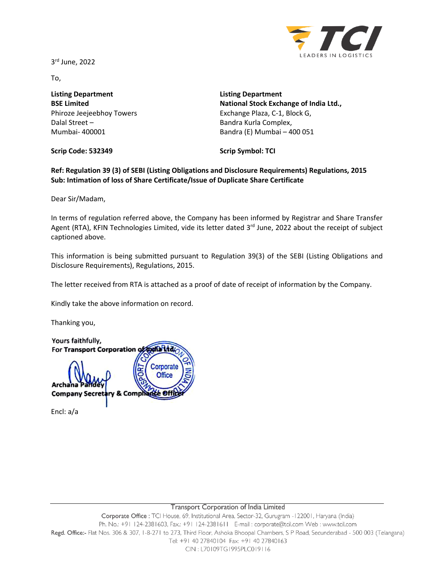3 rd June, 2022



To,

**Listing Department BSE Limited** Phiroze Jeejeebhoy Towers Dalal Street – Mumbai- 400001

**Listing Department National Stock Exchange of India Ltd.,** Exchange Plaza, C-1, Block G, Bandra Kurla Complex, Bandra (E) Mumbai – 400 051

**Scrip Code: 532349**

**Scrip Symbol: TCI**

**Ref: Regulation 39 (3) of SEBI (Listing Obligations and Disclosure Requirements) Regulations, 2015 Sub: Intimation of loss of Share Certificate/Issue of Duplicate Share Certificate**

Dear Sir/Madam,

In terms of regulation referred above, the Company has been informed by Registrar and Share Transfer Agent (RTA), KFIN Technologies Limited, vide its letter dated 3<sup>rd</sup> June, 2022 about the receipt of subject captioned above.

This information is being submitted pursuant to Regulation 39(3) of the SEBI (Listing Obligations and Disclosure Requirements), Regulations, 2015.

The letter received from RTA is attached as a proof of date of receipt of information by the Company.

Kindly take the above information on record.

Thanking you,

Yours faithfully, For Transport Corporation of todia Ltd Corporate **Office** Archa **Company Secret** & Comph